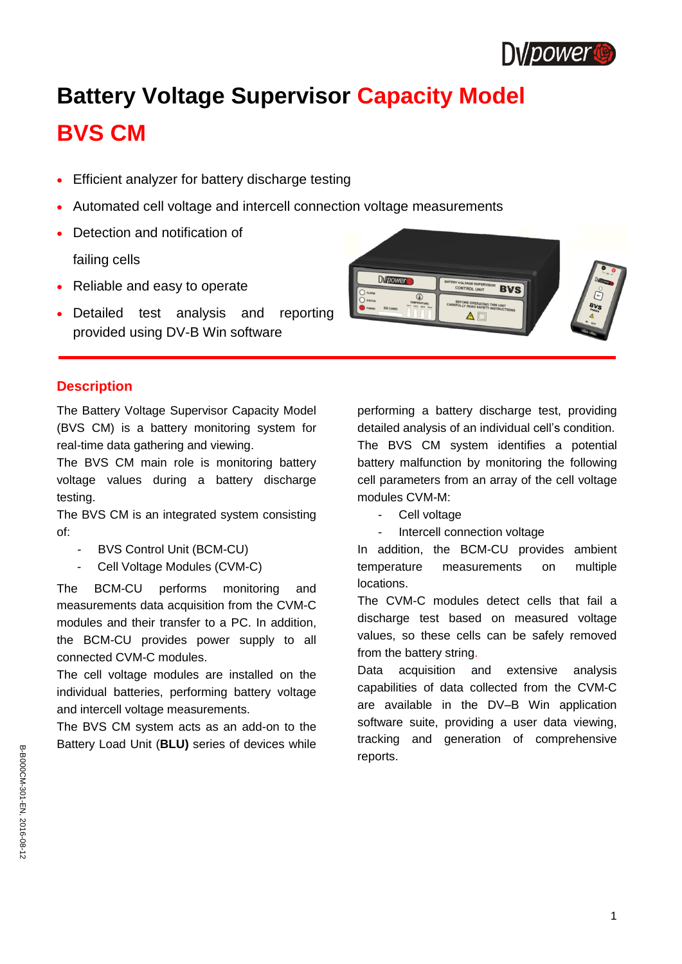

# **Battery Voltage Supervisor Capacity Model BVS CM**

- Efficient analyzer for battery discharge testing
- Automated cell voltage and intercell connection voltage measurements
- Detection and notification of

failing cells

- Reliable and easy to operate
- Detailed test analysis and reporting provided using DV-B Win software



## **Description**

The Battery Voltage Supervisor Capacity Model (BVS CM) is a battery monitoring system for real-time data gathering and viewing.

The BVS CM main role is monitoring battery voltage values during a battery discharge testing.

The BVS CM is an integrated system consisting of:

- BVS Control Unit (BCM-CU)
- Cell Voltage Modules (CVM-C)

The BCM-CU performs monitoring and measurements data acquisition from the CVM-C modules and their transfer to a PC. In addition, the BCM-CU provides power supply to all connected CVM-C modules.

The cell voltage modules are installed on the individual batteries, performing battery voltage and intercell voltage measurements.

The BVS CM system acts as an add-on to the Battery Load Unit (**BLU)** series of devices while performing a battery discharge test, providing detailed analysis of an individual cell's condition. The BVS CM system identifies a potential battery malfunction by monitoring the following cell parameters from an array of the cell voltage modules CVM-M:

- Cell voltage
- Intercell connection voltage

In addition, the BCM-CU provides ambient temperature measurements on multiple locations.

The CVM-C modules detect cells that fail a discharge test based on measured voltage values, so these cells can be safely removed from the battery string.

Data acquisition and extensive analysis capabilities of data collected from the CVM-C are available in the DV–B Win application software suite, providing a user data viewing, tracking and generation of comprehensive reports.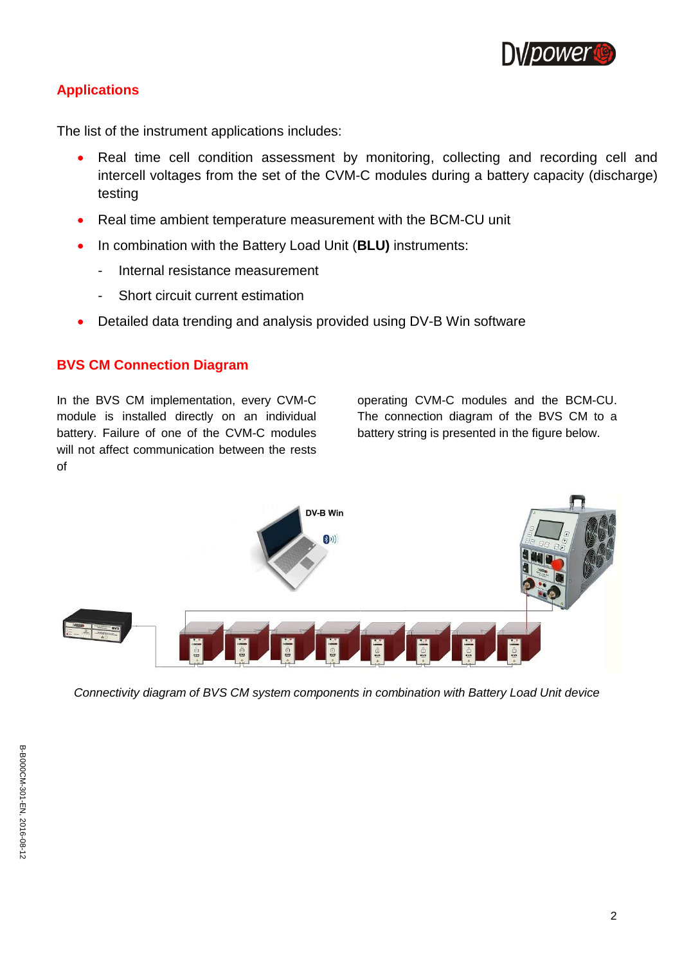

# **Applications**

The list of the instrument applications includes:

- Real time cell condition assessment by monitoring, collecting and recording cell and intercell voltages from the set of the CVM-C modules during a battery capacity (discharge) testing
- Real time ambient temperature measurement with the BCM-CU unit
- In combination with the Battery Load Unit (**BLU)** instruments:
	- Internal resistance measurement
	- Short circuit current estimation
- Detailed data trending and analysis provided using DV-B Win software

## **BVS CM Connection Diagram**

In the BVS CM implementation, every CVM-C module is installed directly on an individual battery. Failure of one of the CVM-C modules will not affect communication between the rests of

operating CVM-C modules and the BCM-CU. The connection diagram of the BVS CM to a battery string is presented in the figure below.



*Connectivity diagram of BVS CM system components in combination with Battery Load Unit device*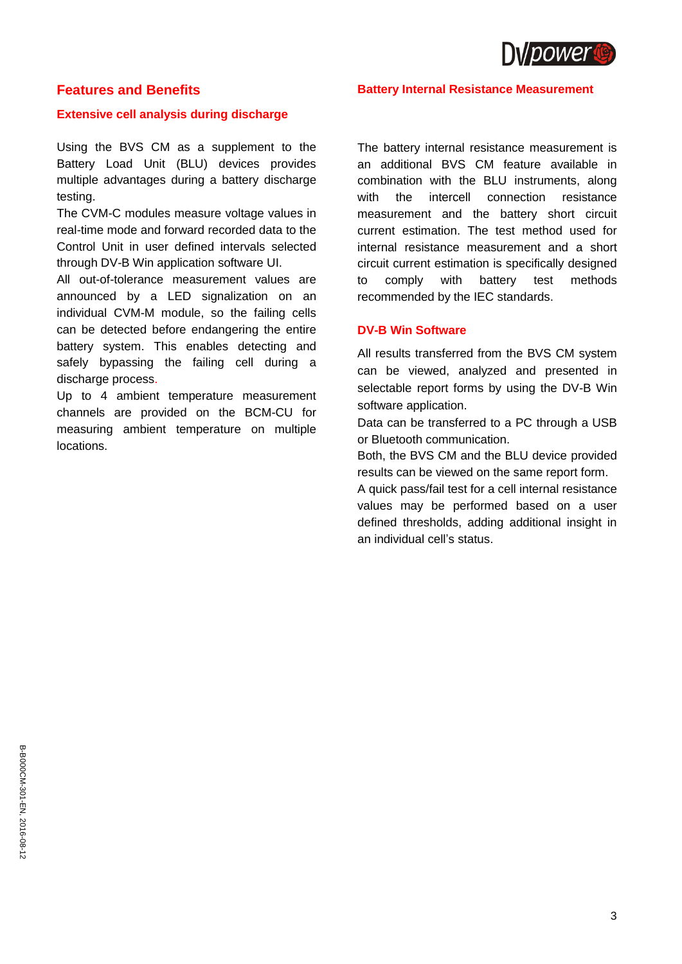

## **Features and Benefits**

#### **Extensive cell analysis during discharge**

Using the BVS CM as a supplement to the Battery Load Unit (BLU) devices provides multiple advantages during a battery discharge testing.

The CVM-C modules measure voltage values in real-time mode and forward recorded data to the Control Unit in user defined intervals selected through DV-B Win application software UI.

All out-of-tolerance measurement values are announced by a LED signalization on an individual CVM-M module, so the failing cells can be detected before endangering the entire battery system. This enables detecting and safely bypassing the failing cell during a discharge process.

Up to 4 ambient temperature measurement channels are provided on the BCM-CU for measuring ambient temperature on multiple locations.

#### **Battery Internal Resistance Measurement**

The battery internal resistance measurement is an additional BVS CM feature available in combination with the BLU instruments, along with the intercell connection resistance measurement and the battery short circuit current estimation. The test method used for internal resistance measurement and a short circuit current estimation is specifically designed to comply with battery test methods recommended by the IEC standards.

#### **DV-B Win Software**

All results transferred from the BVS CM system can be viewed, analyzed and presented in selectable report forms by using the DV-B Win software application.

Data can be transferred to a PC through a USB or Bluetooth communication.

Both, the BVS CM and the BLU device provided results can be viewed on the same report form.

A quick pass/fail test for a cell internal resistance values may be performed based on a user defined thresholds, adding additional insight in an individual cell's status.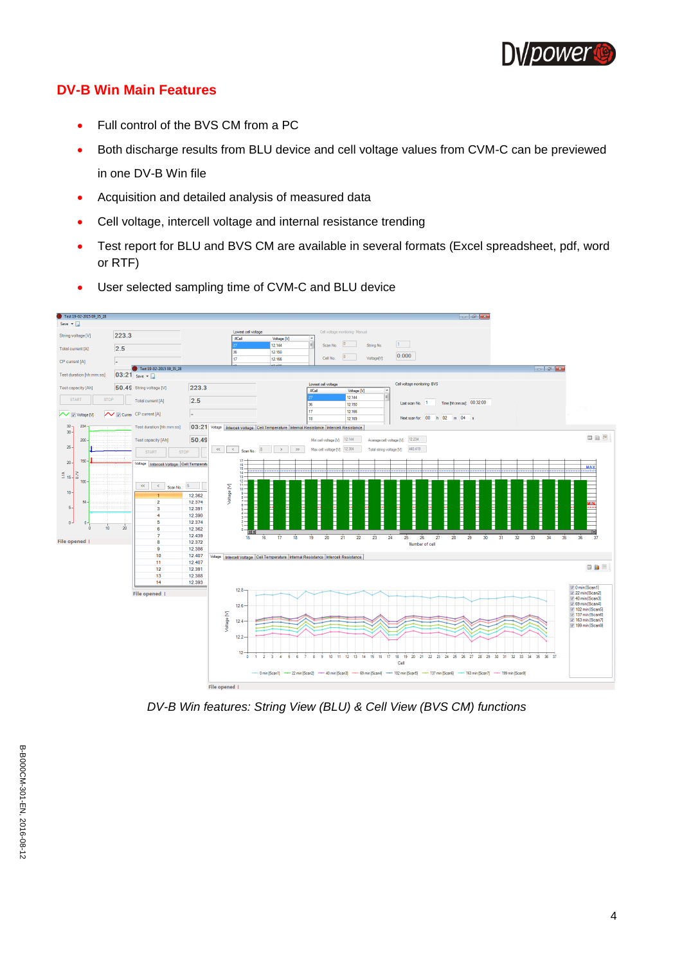

## **DV-B Win Main Features**

- Full control of the BVS CM from a PC
- Both discharge results from BLU device and cell voltage values from CVM-C can be previewed in one DV-B Win file
- Acquisition and detailed analysis of measured data
- Cell voltage, intercell voltage and internal resistance trending
- Test report for BLU and BVS CM are available in several formats (Excel spreadsheet, pdf, word or RTF)



User selected sampling time of CVM-C and BLU device

*DV-B Win features: String View (BLU) & Cell View (BVS CM) functions*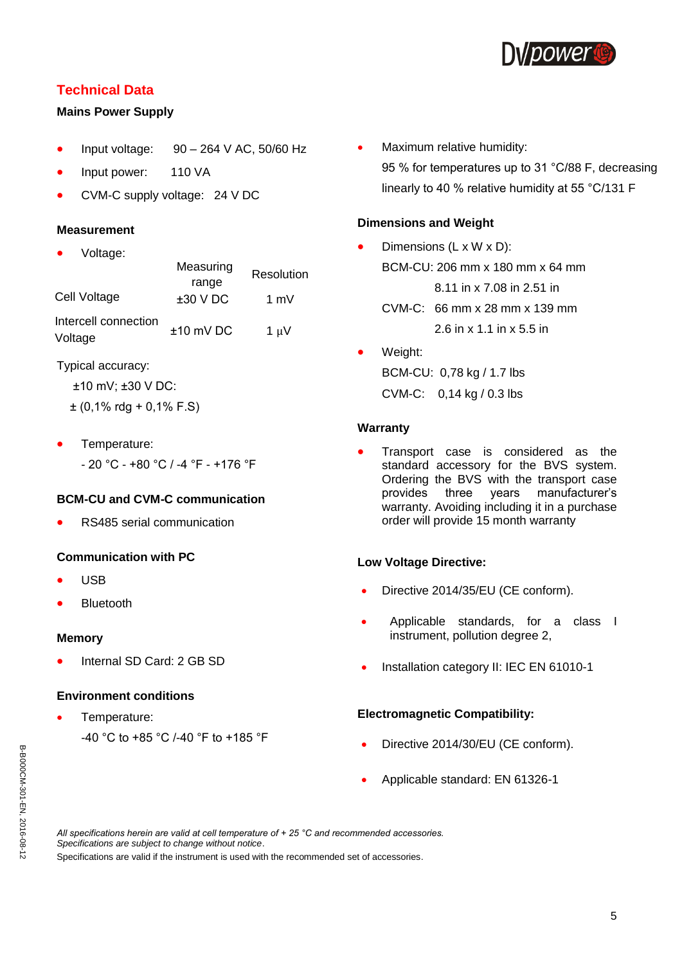

## **Technical Data**

#### **Mains Power Supply**

- Input voltage: 90 264 V AC, 50/60 Hz
- Input power: 110 VA
- CVM-C supply voltage: 24 V DC

#### **Measurement**

Voltage:

|                                 | Measuring<br>range | Resolution | <b>BC</b> |
|---------------------------------|--------------------|------------|-----------|
| Cell Voltage                    | $±30$ V DC         | 1 m $V$    | CV        |
| Intercell connection<br>Voltage | $±10$ mV DC        | 1 $\mu$ V  | .         |

Typical accuracy:

```
±10 mV; ±30 V DC:
```
- $\pm$  (0,1% rdg + 0,1% F.S)
- Temperature:
	- 20 °C +80 °C / -4 °F +176 °F

## **BCM-CU and CVM-C communication**

RS485 serial communication

## **Communication with PC**

- USB
- Bluetooth

#### **Memory**

Internal SD Card: 2 GB SD

#### **Environment conditions**

 Temperature: -40 °C to +85 °C /-40 °F to +185 °F • Maximum relative humidity: 95 % for temperatures up to 31 °C/88 F, decreasing linearly to 40 % relative humidity at 55 °C/131 F

#### **Dimensions and Weight**

- Dimensions (L x W x D): BCM-CU: 206 mm x 180 mm x 64 mm 8.11 in x 7.08 in 2.51 in CVM-C: 66 mm x 28 mm x 139 mm 2.6 in x 1.1 in x 5.5 in
- Weight: BCM-CU: 0,78 kg / 1.7 lbs CVM-C: 0,14 kg / 0.3 lbs

#### **Warranty**

 Transport case is considered as the standard accessory for the BVS system. Ordering the BVS with the transport case provides three years manufacturer's warranty. Avoiding including it in a purchase order will provide 15 month warranty

## **Low Voltage Directive:**

- Directive 2014/35/EU (CE conform).
- Applicable standards, for a class I instrument, pollution degree 2,
- Installation category II: IEC EN 61010-1

#### **Electromagnetic Compatibility:**

- Directive 2014/30/EU (CE conform).
- Applicable standard: EN 61326-1

*All specifications herein are valid at cell temperature of + 25 °C and recommended accessories. Specifications are subject to change without notice*.

Specifications are valid if the instrument is used with the recommended set of accessories.